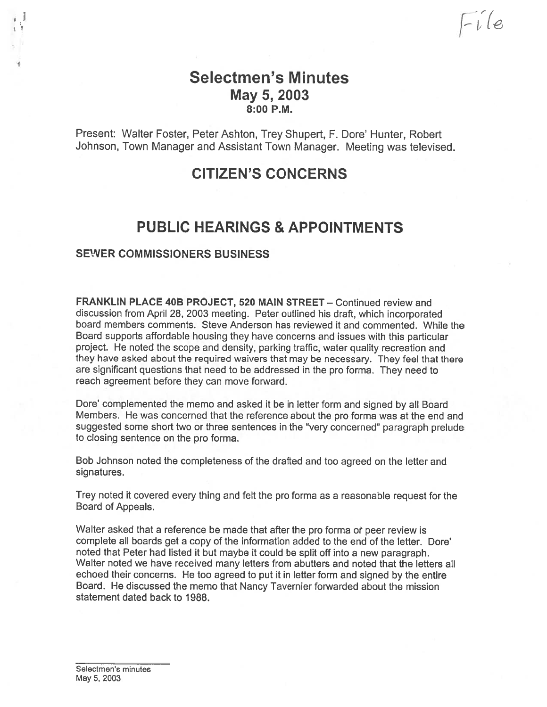### Selectmen's Minutes May 5, 2003 8:00 P.M.

Present: Walter Foster, Peter Ashton, Trey Shupert, F. Dore' Hunter, Robert Johnson, Town Manager and Assistant Town Manager. Meeting was televised.

## CITIZEN'S CONCERNS

## PUBLIC HEARINGS & APPOINTMENTS

### SEWER COMMISSIONERS BUSINESS

FRANKLIN PLACE 40B PROJECT, 520 MAIN STREET — Continued review and discussion from April 28, 2003 meeting. Peter outlined his draft, which incorporated board members comments. Steve Anderson has reviewed it and commented. While the Board supports affordable housing they have concerns and issues with this particular project. He noted the scope and density, parking traffic, water quality recreation and they have asked about the required waivers that may be necessary. They feel that there are significant questions that need to be addressed in the pro forms. They need to teach agreemen<sup>t</sup> before they can move forward.

Dote' complemented the memo and asked it be in letter form and signed by all Board Members. He was concerned that the reference about the pro forma was at the end and suggested some short two or three sentences in the "very concerned" paragrap<sup>h</sup> prelude to closing sentence on the pro forma.

Bob Johnson noted the completeness of the drafted and too agree<sup>d</sup> on the letter and signatures.

Trey noted it covered every thing and felt the pro forms as <sup>a</sup> reasonable reques<sup>t</sup> for the Board of Appeals.

Walter asked that a reference be made that after the pro forma or peer review is complete all boards ge<sup>t</sup> <sup>a</sup> copy of the information added to the end of the letter. Dote' noted that Peter had listed it but maybe it could be split off into <sup>a</sup> new paragraph. Walter noted we have received many letters from abutters and noted that the letters all echoed their concerns. He too agree<sup>d</sup> to pu<sup>t</sup> it in letter form and signed by the entire Board. He discussed the memo that Nancy Tavernier forwarded about the mission statement dated back to 1988.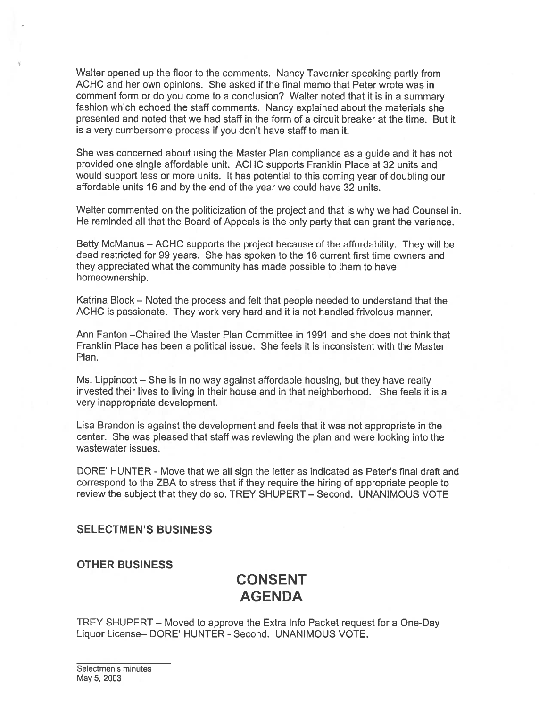Walter opened up the floor to the comments. Nancy Tavernier speaking partly from ACHC and her own opinions. She asked if the final memo that Peter wrote was in comment form or do you come to <sup>a</sup> conclusion? Walter noted that it is in <sup>a</sup> summary fashion which echoed the staff comments. Nancy explained about the materials she presented and noted that we had staff in the form of <sup>a</sup> circuit breaker at the time. But it is <sup>a</sup> very cumbersome process if you don't have staff to man it.

She was concerned about using the Master Plan compliance as <sup>a</sup> guide and it has not provided one single affordable unit. ACHC supports Franklin Place at 32 units and would suppor<sup>t</sup> less or more units. It has potential to this coming year of doubling our affordable units 16 and by the end of the year we could have 32 units.

Walter commented on the politicization of the project and that is why we had Counsel in. He reminded all that the Board of Appeals is the only party that can gran<sup>t</sup> the variance.

Betty McManus — ACHC supports the project because of the affordability. They will be deed restricted for 99 years. She has spoken to the 16 current first time owners and they appreciated what the community has made possible to them to have homeownership.

Katrina Block — Noted the process and felt that people needed to understand that the ACHC is passionate. They work very hard and it is not handled frivolous manner.

Ann Fanton —Chaired the Master Plan Committee in 1991 and she does not think that Franklin Place has been <sup>a</sup> political issue. She feels it is inconsistent with the Master Plan.

Ms. Lippincott — She is in no way against affordable housing, but they have really invested their lives to living in their house and in that neighborhood. She feels it is <sup>a</sup> very inappropriate development.

Lisa Brandon is against the development and feels that it was not appropriate in the center. She was pleased that staff was reviewing the plan and were looking into the wastewater issues.

DORE' HUNTER - Move that we all sign the letter as indicated as Peter's final draft and correspond to the ZBA to stress that if they require the hiring of appropriate people to review the subject that they do so. TREY SHUPERT — Second. UNANIMOUS VOTE

#### SELECTMEN'S BUSINESS

#### OTHER BUSINESS

### CONSENT AGENDA

TREY SHUPERT — Moved to approve the Extra Info Packet reques<sup>t</sup> for <sup>a</sup> One-Day Liquor License— DORE' HUNTER - Second. UNANIMOUS VOTE.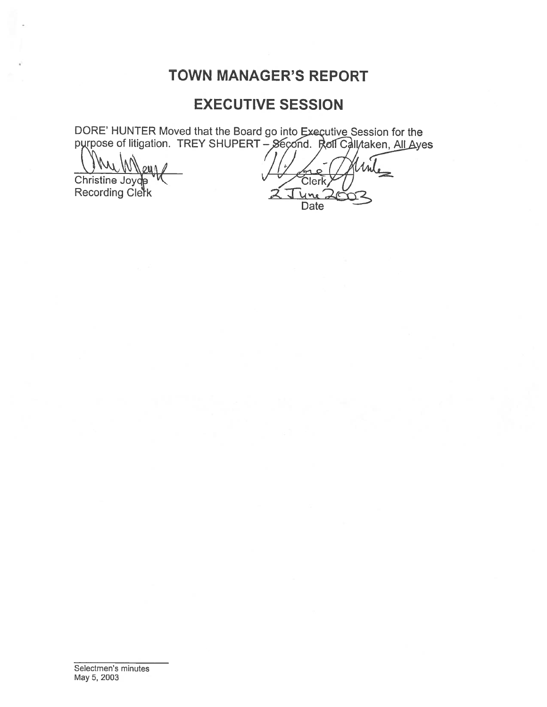## **TOWN MANAGER'S REPORT**

### **EXECUTIVE SESSION**

DORE' HUNTER Moved that the Board go into Executive Session for the purpose of litigation. TREY SHUPERT – Second. Roll Call taken, All Ayes

oun Christine Joyde Recording Clerk

Clerk. **Date**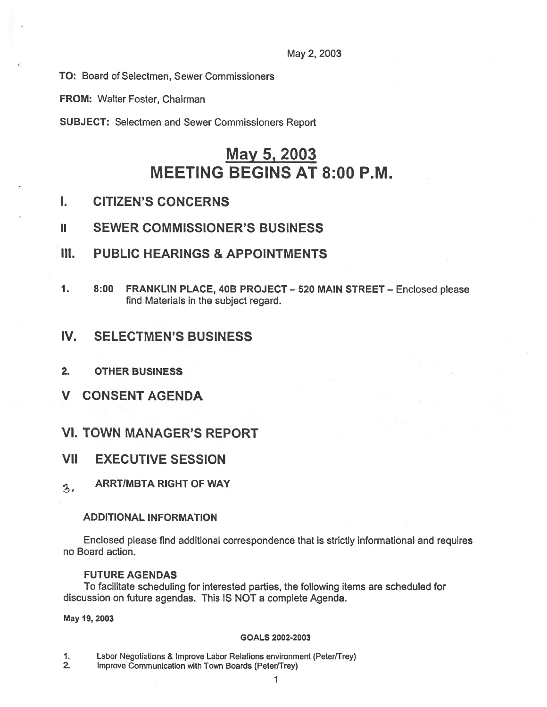#### May 2, 2003

TO: Board of Selectmen, Sewer Commissioners

FROM: Walter Foster, Chairman

SUBJECT: Selectmen and Sewer Commissioners Report

# May 5, 2003 MEETING BEGINS AT 8:00 P.M.

- I. CITIZEN'S CONCERNS
- II SEWER COMMISSIONER'S BUSINESS
- III. PUBLIC HEARINGS & APPOINTMENTS
- 1. 8:00 FRANKLIN PLACE, 40B PROJECT 520 MAIN STREET Enclosed please find Materials in the subject regard.

### IV. SELECTMEN'S BUSINESS

- 2. OTHER BUSINESS
- V CONSENT AGENDA
- VI. TOWN MANAGER'S REPORT
- VII EXECUTIVE SESSION
- ARRTIMBTA RIGHT OF WAY  $3.$

#### ADDITIONAL INFORMATION

Enclosed please find additional correspondence that is strictly informational and requires no Board action.

#### FUTURE AGENDAS

To facilitate scheduling for interested parties, the following items are scheduled for discussion on future agendas. This IS NOT <sup>a</sup> complete Agenda.

May 19, 2003

#### GOALS 2002-2003

- 1. Labor Negotiations & Improve Labor Relations environment (Peter/Trey)
- 2. Improve Communication with Town Boards (Peter/Trey)